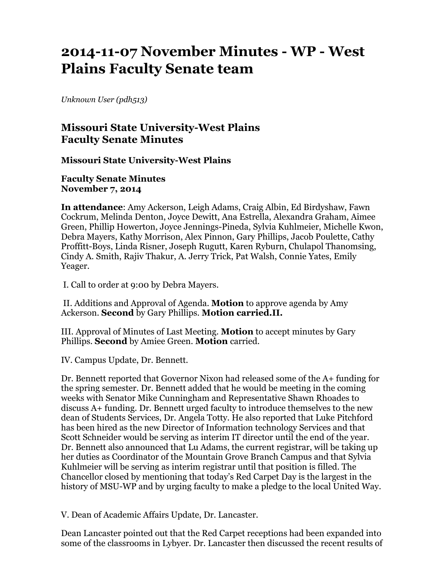# **2014-11-07 November Minutes - WP - West Plains Faculty Senate team**

*Unknown User (pdh513)*

## **Missouri State University-West Plains Faculty Senate Minutes**

**Missouri State University-West Plains**

**Faculty Senate Minutes November 7, 2014**

**In attendance**: Amy Ackerson, Leigh Adams, Craig Albin, Ed Birdyshaw, Fawn Cockrum, Melinda Denton, Joyce Dewitt, Ana Estrella, Alexandra Graham, Aimee Green, Phillip Howerton, Joyce Jennings-Pineda, Sylvia Kuhlmeier, Michelle Kwon, Debra Mayers, Kathy Morrison, Alex Pinnon, Gary Phillips, Jacob Poulette, Cathy Proffitt-Boys, Linda Risner, Joseph Rugutt, Karen Ryburn, Chulapol Thanomsing, Cindy A. Smith, Rajiv Thakur, A. Jerry Trick, Pat Walsh, Connie Yates, Emily Yeager.

I. Call to order at 9:00 by Debra Mayers.

II. Additions and Approval of Agenda. **Motion** to approve agenda by Amy Ackerson. **Second** by Gary Phillips. **Motion carried.II.**

III. Approval of Minutes of Last Meeting. **Motion** to accept minutes by Gary Phillips. **Second** by Amiee Green. **Motion** carried.

IV. Campus Update, Dr. Bennett.

Dr. Bennett reported that Governor Nixon had released some of the A+ funding for the spring semester. Dr. Bennett added that he would be meeting in the coming weeks with Senator Mike Cunningham and Representative Shawn Rhoades to discuss A+ funding. Dr. Bennett urged faculty to introduce themselves to the new dean of Students Services, Dr. Angela Totty. He also reported that Luke Pitchford has been hired as the new Director of Information technology Services and that Scott Schneider would be serving as interim IT director until the end of the year. Dr. Bennett also announced that Lu Adams, the current registrar, will be taking up her duties as Coordinator of the Mountain Grove Branch Campus and that Sylvia Kuhlmeier will be serving as interim registrar until that position is filled. The Chancellor closed by mentioning that today's Red Carpet Day is the largest in the history of MSU-WP and by urging faculty to make a pledge to the local United Way.

V. Dean of Academic Affairs Update, Dr. Lancaster.

Dean Lancaster pointed out that the Red Carpet receptions had been expanded into some of the classrooms in Lybyer. Dr. Lancaster then discussed the recent results of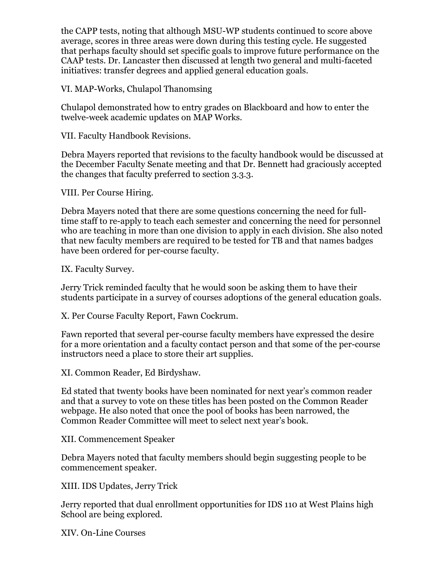the CAPP tests, noting that although MSU-WP students continued to score above average, scores in three areas were down during this testing cycle. He suggested that perhaps faculty should set specific goals to improve future performance on the CAAP tests. Dr. Lancaster then discussed at length two general and multi-faceted initiatives: transfer degrees and applied general education goals.

VI. MAP-Works, Chulapol Thanomsing

Chulapol demonstrated how to entry grades on Blackboard and how to enter the twelve-week academic updates on MAP Works.

VII. Faculty Handbook Revisions.

Debra Mayers reported that revisions to the faculty handbook would be discussed at the December Faculty Senate meeting and that Dr. Bennett had graciously accepted the changes that faculty preferred to section 3.3.3.

VIII. Per Course Hiring.

Debra Mayers noted that there are some questions concerning the need for fulltime staff to re-apply to teach each semester and concerning the need for personnel who are teaching in more than one division to apply in each division. She also noted that new faculty members are required to be tested for TB and that names badges have been ordered for per-course faculty.

IX. Faculty Survey.

Jerry Trick reminded faculty that he would soon be asking them to have their students participate in a survey of courses adoptions of the general education goals.

X. Per Course Faculty Report, Fawn Cockrum.

Fawn reported that several per-course faculty members have expressed the desire for a more orientation and a faculty contact person and that some of the per-course instructors need a place to store their art supplies.

XI. Common Reader, Ed Birdyshaw.

Ed stated that twenty books have been nominated for next year's common reader and that a survey to vote on these titles has been posted on the Common Reader webpage. He also noted that once the pool of books has been narrowed, the Common Reader Committee will meet to select next year's book.

XII. Commencement Speaker

Debra Mayers noted that faculty members should begin suggesting people to be commencement speaker.

XIII. IDS Updates, Jerry Trick

Jerry reported that dual enrollment opportunities for IDS 110 at West Plains high School are being explored.

XIV. On-Line Courses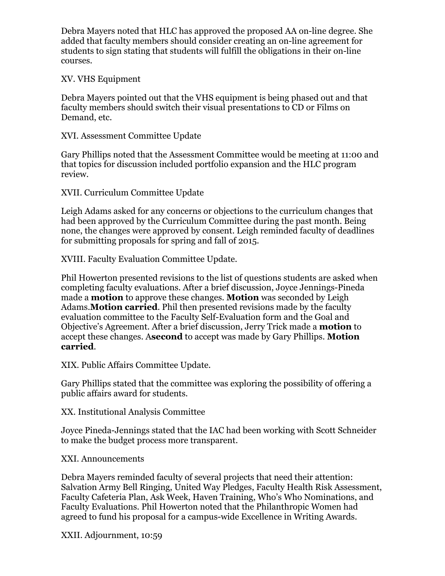Debra Mayers noted that HLC has approved the proposed AA on-line degree. She added that faculty members should consider creating an on-line agreement for students to sign stating that students will fulfill the obligations in their on-line courses.

### XV. VHS Equipment

Debra Mayers pointed out that the VHS equipment is being phased out and that faculty members should switch their visual presentations to CD or Films on Demand, etc.

### XVI. Assessment Committee Update

Gary Phillips noted that the Assessment Committee would be meeting at 11:00 and that topics for discussion included portfolio expansion and the HLC program review.

XVII. Curriculum Committee Update

Leigh Adams asked for any concerns or objections to the curriculum changes that had been approved by the Curriculum Committee during the past month. Being none, the changes were approved by consent. Leigh reminded faculty of deadlines for submitting proposals for spring and fall of 2015.

XVIII. Faculty Evaluation Committee Update.

Phil Howerton presented revisions to the list of questions students are asked when completing faculty evaluations. After a brief discussion, Joyce Jennings-Pineda made a **motion** to approve these changes. **Motion** was seconded by Leigh Adams.**Motion carried**. Phil then presented revisions made by the faculty evaluation committee to the Faculty Self-Evaluation form and the Goal and Objective's Agreement. After a brief discussion, Jerry Trick made a **motion** to accept these changes. A**second** to accept was made by Gary Phillips. **Motion carried**.

XIX. Public Affairs Committee Update.

Gary Phillips stated that the committee was exploring the possibility of offering a public affairs award for students.

XX. Institutional Analysis Committee

Joyce Pineda-Jennings stated that the IAC had been working with Scott Schneider to make the budget process more transparent.

#### XXI. Announcements

Debra Mayers reminded faculty of several projects that need their attention: Salvation Army Bell Ringing, United Way Pledges, Faculty Health Risk Assessment, Faculty Cafeteria Plan, Ask Week, Haven Training, Who's Who Nominations, and Faculty Evaluations. Phil Howerton noted that the Philanthropic Women had agreed to fund his proposal for a campus-wide Excellence in Writing Awards.

XXII. Adjournment, 10:59